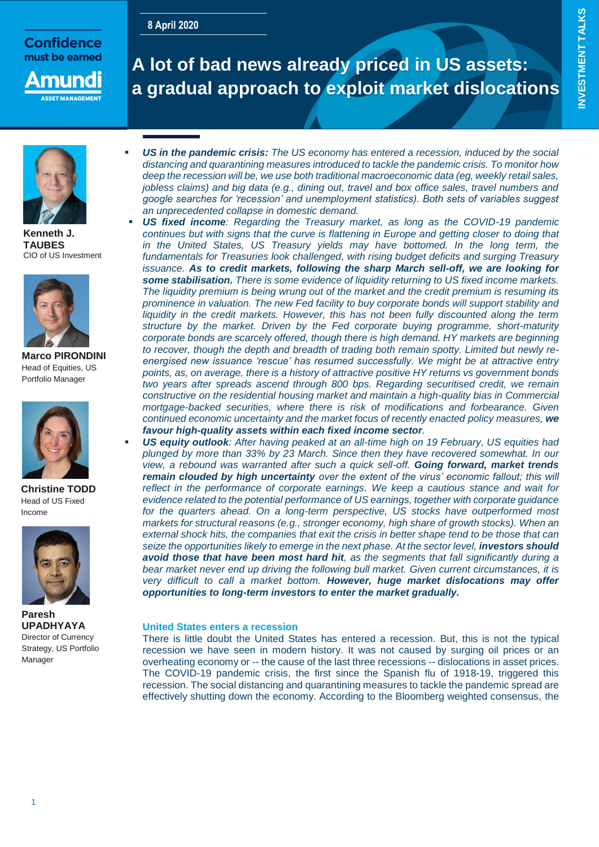# **8 April 2020**

# **Confidence** must be earned



# **A lot of bad news already priced in US assets: a gradual approach to exploit market dislocations**

**INVESTMENT TALKS**

**INVESTMENT TALKS** 



**Kenneth J. TAUBES**  CIO of US Investment



**Marco PIRONDINI** Head of Equities, US Portfolio Manager



**Christine TODD** Head of US Fixed Income



**Paresh UPADHYAYA** Director of Currency Strategy, US Portfolio Manager

- *US in the pandemic crisis: The US economy has entered a recession, induced by the social distancing and quarantining measures introduced to tackle the pandemic crisis. To monitor how deep the recession will be, we use both traditional macroeconomic data (eg, weekly retail sales, jobless claims) and big data (e.g., dining out, travel and box office sales, travel numbers and google searches for 'recession' and unemployment statistics). Both sets of variables suggest an unprecedented collapse in domestic demand.*
- *US fixed income: Regarding the Treasury market, as long as the COVID-19 pandemic continues but with signs that the curve is flattening in Europe and getting closer to doing that in the United States, US Treasury yields may have bottomed. In the long term, the fundamentals for Treasuries look challenged, with rising budget deficits and surging Treasury issuance. As to credit markets, following the sharp March sell-off, we are looking for some stabilisation. There is some evidence of liquidity returning to US fixed income markets. The liquidity premium is being wrung out of the market and the credit premium is resuming its prominence in valuation. The new Fed facility to buy corporate bonds will support stability and liquidity in the credit markets. However, this has not been fully discounted along the term structure by the market. Driven by the Fed corporate buying programme, short-maturity corporate bonds are scarcely offered, though there is high demand. HY markets are beginning to recover, though the depth and breadth of trading both remain spotty. Limited but newly reenergised new issuance 'rescue' has resumed successfully. We might be at attractive entry points, as, on average, there is a history of attractive positive HY returns vs government bonds two years after spreads ascend through 800 bps. Regarding securitised credit, we remain constructive on the residential housing market and maintain a high-quality bias in Commercial mortgage-backed securities, where there is risk of modifications and forbearance. Given continued economic uncertainty and the market focus of recently enacted policy measures, we favour high-quality assets within each fixed income sector.*
- *US equity outlook: After having peaked at an all-time high on 19 February, US equities had plunged by more than 33% by 23 March. Since then they have recovered somewhat. In our view, a rebound was warranted after such a quick sell-off. Going forward, market trends remain clouded by high uncertainty over the extent of the virus' economic fallout; this will reflect in the performance of corporate earnings. We keep a cautious stance and wait for evidence related to the potential performance of US earnings, together with corporate guidance for the quarters ahead. On a long-term perspective, US stocks have outperformed most markets for structural reasons (e.g., stronger economy, high share of growth stocks). When an external shock hits, the companies that exit the crisis in better shape tend to be those that can seize the opportunities likely to emerge in the next phase. At the sector level, investors should avoid those that have been most hard hit, as the segments that fall significantly during a bear market never end up driving the following bull market. Given current circumstances, it is very difficult to call a market bottom. However, huge market dislocations may offer opportunities to long-term investors to enter the market gradually.*

# **United States enters a recession**

There is little doubt the United States has entered a recession. But, this is not the typical recession we have seen in modern history. It was not caused by surging oil prices or an overheating economy or -- the cause of the last three recessions -- dislocations in asset prices. The COVID-19 pandemic crisis, the first since the Spanish flu of 1918-19, triggered this recession. The social distancing and quarantining measures to tackle the pandemic spread are effectively shutting down the economy. According to the Bloomberg weighted consensus, the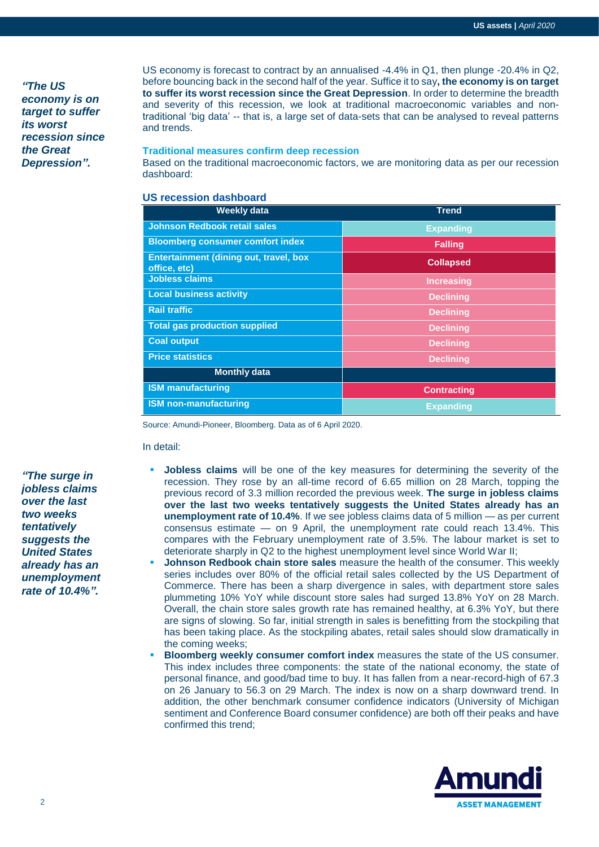*"The US economy is on target to suffer its worst recession since the Great Depression".*

US economy is forecast to contract by an annualised -4.4% in Q1, then plunge -20.4% in Q2, before bouncing back in the second half of the year. Suffice it to say**, the economy is on target to suffer its worst recession since the Great Depression**. In order to determine the breadth and severity of this recession, we look at traditional macroeconomic variables and nontraditional 'big data' -- that is, a large set of data-sets that can be analysed to reveal patterns and trends.

## **Traditional measures confirm deep recession**

Based on the traditional macroeconomic factors, we are monitoring data as per our recession dashboard:

# **US recession dashboard**

| <b>Weekly data</b>                                            | <b>Trend</b>       |
|---------------------------------------------------------------|--------------------|
| <b>Johnson Redbook retail sales</b>                           | <b>Expanding</b>   |
| <b>Bloomberg consumer comfort index</b>                       | <b>Falling</b>     |
| <b>Entertainment (dining out, travel, box</b><br>office, etc) | <b>Collapsed</b>   |
| <b>Jobless claims</b>                                         | <b>Increasing</b>  |
| <b>Local business activity</b>                                | <b>Declining</b>   |
| <b>Rail traffic</b>                                           | <b>Declining</b>   |
| <b>Total gas production supplied</b>                          | <b>Declining</b>   |
| <b>Coal output</b>                                            | <b>Declining</b>   |
| <b>Price statistics</b>                                       | <b>Declining</b>   |
| <b>Monthly data</b>                                           |                    |
| <b>ISM manufacturing</b>                                      | <b>Contracting</b> |
| <b>ISM non-manufacturing</b>                                  | <b>Expanding</b>   |

Source: Amundi-Pioneer, Bloomberg. Data as of 6 April 2020.

#### In detail:

*"The surge in jobless claims over the last two weeks tentatively suggests the United States already has an unemployment rate of 10.4%".*

- **Jobless claims** will be one of the key measures for determining the severity of the recession. They rose by an all-time record of 6.65 million on 28 March, topping the previous record of 3.3 million recorded the previous week. **The surge in jobless claims over the last two weeks tentatively suggests the United States already has an unemployment rate of 10.4%**. If we see jobless claims data of 5 million — as per current consensus estimate — on 9 April, the unemployment rate could reach 13.4%. This compares with the February unemployment rate of 3.5%. The labour market is set to deteriorate sharply in Q2 to the highest unemployment level since World War II;
- **Johnson Redbook chain store sales** measure the health of the consumer. This weekly series includes over 80% of the official retail sales collected by the US Department of Commerce. There has been a sharp divergence in sales, with department store sales plummeting 10% YoY while discount store sales had surged 13.8% YoY on 28 March. Overall, the chain store sales growth rate has remained healthy, at 6.3% YoY, but there are signs of slowing. So far, initial strength in sales is benefitting from the stockpiling that has been taking place. As the stockpiling abates, retail sales should slow dramatically in the coming weeks;
- **Bloomberg weekly consumer comfort index** measures the state of the US consumer. This index includes three components: the state of the national economy, the state of personal finance, and good/bad time to buy. It has fallen from a near-record-high of 67.3 on 26 January to 56.3 on 29 March. The index is now on a sharp downward trend. In addition, the other benchmark consumer confidence indicators (University of Michigan sentiment and Conference Board consumer confidence) are both off their peaks and have confirmed this trend;

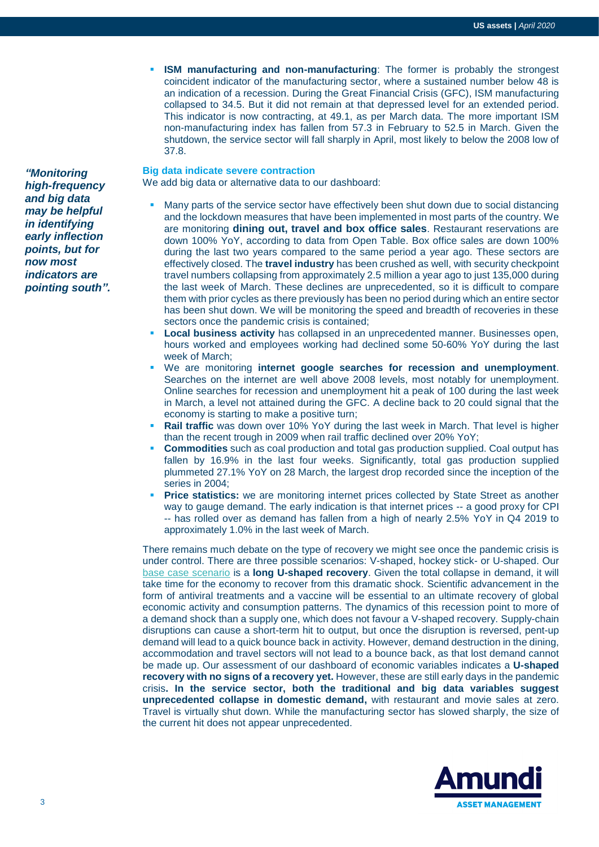**ISM manufacturing and non-manufacturing**: The former is probably the strongest coincident indicator of the manufacturing sector, where a sustained number below 48 is an indication of a recession. During the Great Financial Crisis (GFC), ISM manufacturing collapsed to 34.5. But it did not remain at that depressed level for an extended period. This indicator is now contracting, at 49.1, as per March data. The more important ISM non-manufacturing index has fallen from 57.3 in February to 52.5 in March. Given the shutdown, the service sector will fall sharply in April, most likely to below the 2008 low of 37.8.

## **Big data indicate severe contraction**

We add big data or alternative data to our dashboard:

- Many parts of the service sector have effectively been shut down due to social distancing and the lockdown measures that have been implemented in most parts of the country. We are monitoring **dining out, travel and box office sales**. Restaurant reservations are down 100% YoY, according to data from Open Table. Box office sales are down 100% during the last two years compared to the same period a year ago. These sectors are effectively closed. The **travel industry** has been crushed as well, with security checkpoint travel numbers collapsing from approximately 2.5 million a year ago to just 135,000 during the last week of March. These declines are unprecedented, so it is difficult to compare them with prior cycles as there previously has been no period during which an entire sector has been shut down. We will be monitoring the speed and breadth of recoveries in these sectors once the pandemic crisis is contained;
- **Local business activity** has collapsed in an unprecedented manner. Businesses open, hours worked and employees working had declined some 50-60% YoY during the last week of March;
- We are monitoring **internet google searches for recession and unemployment**. Searches on the internet are well above 2008 levels, most notably for unemployment. Online searches for recession and unemployment hit a peak of 100 during the last week in March, a level not attained during the GFC. A decline back to 20 could signal that the economy is starting to make a positive turn;
- **Rail traffic** was down over 10% YoY during the last week in March. That level is higher than the recent trough in 2009 when rail traffic declined over 20% YoY;
- **Commodities** such as coal production and total gas production supplied. Coal output has fallen by 16.9% in the last four weeks. Significantly, total gas production supplied plummeted 27.1% YoY on 28 March, the largest drop recorded since the inception of the series in 2004;
- **Price statistics:** we are monitoring internet prices collected by State Street as another way to gauge demand. The early indication is that internet prices -- a good proxy for CPI -- has rolled over as demand has fallen from a high of nearly 2.5% YoY in Q4 2019 to approximately 1.0% in the last week of March.

There remains much debate on the type of recovery we might see once the pandemic crisis is under control. There are three possible scenarios: V-shaped, hockey stick- or U-shaped. Our [base case scenario](https://research-center.amundi.com/page/Publications/Cross-Asset/2020/Cross-Asset-Investment-Strategy-April-2020) is a **long U-shaped recovery**. Given the total collapse in demand, it will take time for the economy to recover from this dramatic shock. Scientific advancement in the form of antiviral treatments and a vaccine will be essential to an ultimate recovery of global economic activity and consumption patterns. The dynamics of this recession point to more of a demand shock than a supply one, which does not favour a V-shaped recovery. Supply-chain disruptions can cause a short-term hit to output, but once the disruption is reversed, pent-up demand will lead to a quick bounce back in activity. However, demand destruction in the dining, accommodation and travel sectors will not lead to a bounce back, as that lost demand cannot be made up. Our assessment of our dashboard of economic variables indicates a **U-shaped recovery with no signs of a recovery yet.** However, these are still early days in the pandemic crisis**. In the service sector, both the traditional and big data variables suggest unprecedented collapse in domestic demand,** with restaurant and movie sales at zero. Travel is virtually shut down. While the manufacturing sector has slowed sharply, the size of the current hit does not appear unprecedented.



*"Monitoring high-frequency and big data may be helpful in identifying early inflection points, but for now most indicators are pointing south".*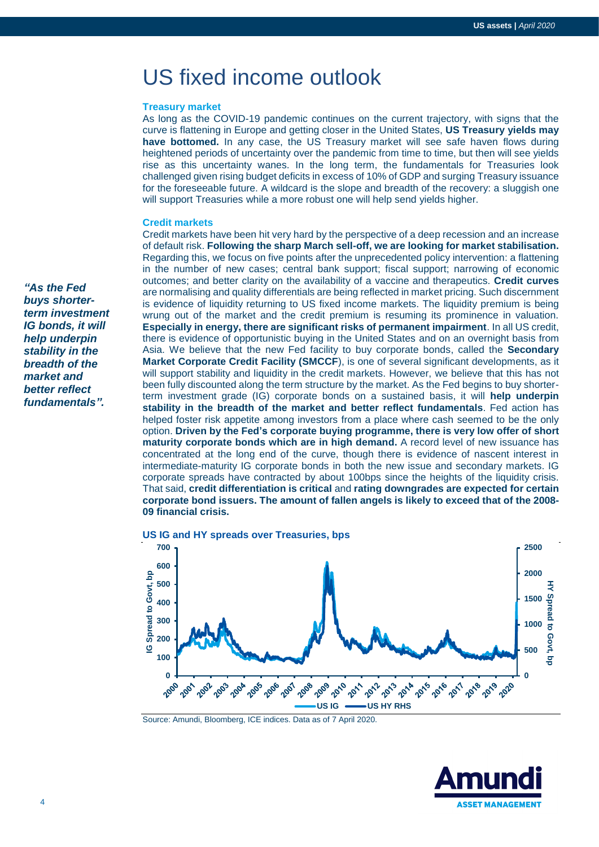# US fixed income outlook

#### **Treasury market**

As long as the COVID-19 pandemic continues on the current trajectory, with signs that the curve is flattening in Europe and getting closer in the United States, **US Treasury yields may have bottomed.** In any case, the US Treasury market will see safe haven flows during heightened periods of uncertainty over the pandemic from time to time, but then will see yields rise as this uncertainty wanes. In the long term, the fundamentals for Treasuries look challenged given rising budget deficits in excess of 10% of GDP and surging Treasury issuance for the foreseeable future. A wildcard is the slope and breadth of the recovery: a sluggish one will support Treasuries while a more robust one will help send yields higher.

#### **Credit markets**

Credit markets have been hit very hard by the perspective of a deep recession and an increase of default risk. **Following the sharp March sell-off, we are looking for market stabilisation.** Regarding this, we focus on five points after the unprecedented policy intervention: a flattening in the number of new cases; central bank support; fiscal support; narrowing of economic outcomes; and better clarity on the availability of a vaccine and therapeutics. **Credit curves** are normalising and quality differentials are being reflected in market pricing. Such discernment is evidence of liquidity returning to US fixed income markets. The liquidity premium is being wrung out of the market and the credit premium is resuming its prominence in valuation. **Especially in energy, there are significant risks of permanent impairment**. In all US credit, there is evidence of opportunistic buying in the United States and on an overnight basis from Asia. We believe that the new Fed facility to buy corporate bonds, called the **Secondary Market Corporate Credit Facility (SMCCF**), is one of several significant developments, as it will support stability and liquidity in the credit markets. However, we believe that this has not been fully discounted along the term structure by the market. As the Fed begins to buy shorterterm investment grade (IG) corporate bonds on a sustained basis, it will **help underpin stability in the breadth of the market and better reflect fundamentals**. Fed action has helped foster risk appetite among investors from a place where cash seemed to be the only option. **Driven by the Fed's corporate buying programme, there is very low offer of short maturity corporate bonds which are in high demand.** A record level of new issuance has concentrated at the long end of the curve, though there is evidence of nascent interest in intermediate-maturity IG corporate bonds in both the new issue and secondary markets. IG corporate spreads have contracted by about 100bps since the heights of the liquidity crisis. That said, **credit differentiation is critical** and **rating downgrades are expected for certain corporate bond issuers. The amount of fallen angels is likely to exceed that of the 2008- 09 financial crisis.**





Source: Amundi, Bloomberg, ICE indices. Data as of 7 April 2020.



*"As the Fed buys shorterterm investment IG bonds, it will help underpin stability in the breadth of the market and better reflect fundamentals".*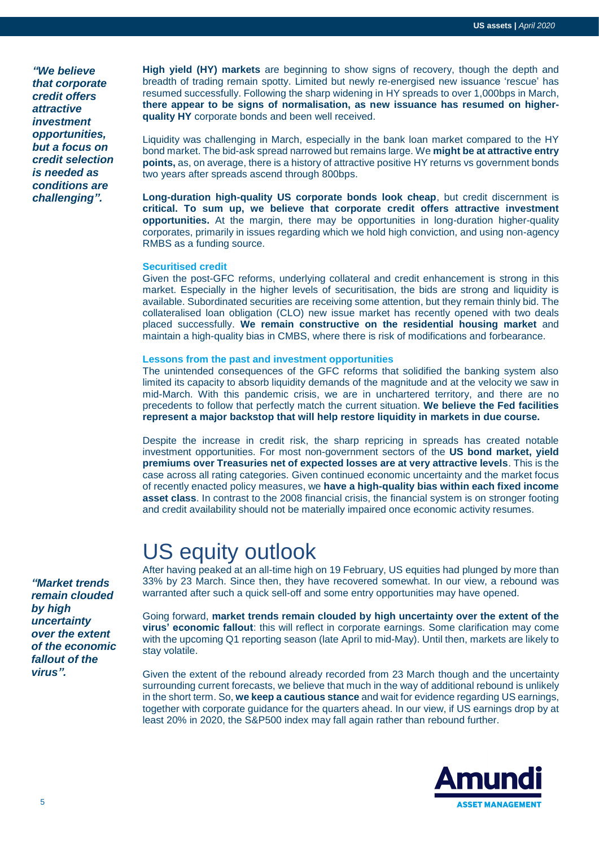*"We believe that corporate credit offers attractive investment opportunities, but a focus on credit selection is needed as conditions are challenging".*

**High yield (HY) markets** are beginning to show signs of recovery, though the depth and breadth of trading remain spotty. Limited but newly re-energised new issuance 'rescue' has resumed successfully. Following the sharp widening in HY spreads to over 1,000bps in March, **there appear to be signs of normalisation, as new issuance has resumed on higherquality HY** corporate bonds and been well received.

Liquidity was challenging in March, especially in the bank loan market compared to the HY bond market. The bid-ask spread narrowed but remains large. We **might be at attractive entry points**, as, on average, there is a history of attractive positive HY returns vs government bonds two years after spreads ascend through 800bps.

**Long-duration high-quality US corporate bonds look cheap**, but credit discernment is **critical. To sum up, we believe that corporate credit offers attractive investment opportunities.** At the margin, there may be opportunities in long-duration higher-quality corporates, primarily in issues regarding which we hold high conviction, and using non-agency RMBS as a funding source.

#### **Securitised credit**

Given the post-GFC reforms, underlying collateral and credit enhancement is strong in this market. Especially in the higher levels of securitisation, the bids are strong and liquidity is available. Subordinated securities are receiving some attention, but they remain thinly bid. The collateralised loan obligation (CLO) new issue market has recently opened with two deals placed successfully. **We remain constructive on the residential housing market** and maintain a high-quality bias in CMBS, where there is risk of modifications and forbearance.

## **Lessons from the past and investment opportunities**

The unintended consequences of the GFC reforms that solidified the banking system also limited its capacity to absorb liquidity demands of the magnitude and at the velocity we saw in mid-March. With this pandemic crisis, we are in unchartered territory, and there are no precedents to follow that perfectly match the current situation. **We believe the Fed facilities represent a major backstop that will help restore liquidity in markets in due course.**

Despite the increase in credit risk, the sharp repricing in spreads has created notable investment opportunities. For most non-government sectors of the **US bond market, yield premiums over Treasuries net of expected losses are at very attractive levels**. This is the case across all rating categories. Given continued economic uncertainty and the market focus of recently enacted policy measures, we **have a high-quality bias within each fixed income asset class**. In contrast to the 2008 financial crisis, the financial system is on stronger footing and credit availability should not be materially impaired once economic activity resumes.

# US equity outlook

After having peaked at an all-time high on 19 February, US equities had plunged by more than 33% by 23 March. Since then, they have recovered somewhat. In our view, a rebound was warranted after such a quick sell-off and some entry opportunities may have opened.

Going forward, **market trends remain clouded by high uncertainty over the extent of the virus' economic fallout**: this will reflect in corporate earnings. Some clarification may come with the upcoming Q1 reporting season (late April to mid-May). Until then, markets are likely to stay volatile.

Given the extent of the rebound already recorded from 23 March though and the uncertainty surrounding current forecasts, we believe that much in the way of additional rebound is unlikely in the short term. So, **we keep a cautious stance** and wait for evidence regarding US earnings, together with corporate guidance for the quarters ahead. In our view, if US earnings drop by at least 20% in 2020, the S&P500 index may fall again rather than rebound further.



*"Market trends remain clouded by high uncertainty over the extent of the economic fallout of the virus".*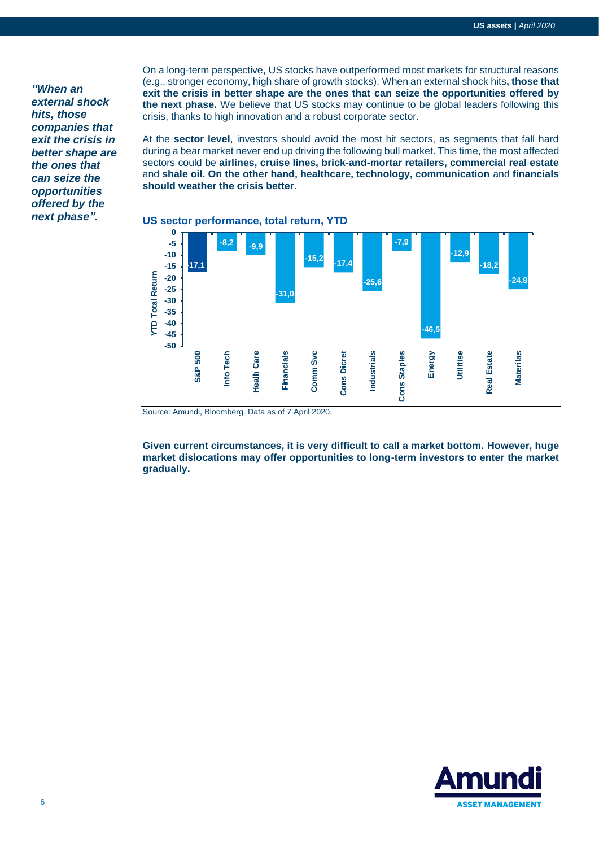*"When an external shock hits, those companies that exit the crisis in better shape are the ones that can seize the opportunities offered by the next phase".*

On a long-term perspective, US stocks have outperformed most markets for structural reasons (e.g., stronger economy, high share of growth stocks). When an external shock hits**, those that exit the crisis in better shape are the ones that can seize the opportunities offered by the next phase.** We believe that US stocks may continue to be global leaders following this crisis, thanks to high innovation and a robust corporate sector.

At the **sector level**, investors should avoid the most hit sectors, as segments that fall hard during a bear market never end up driving the following bull market. This time, the most affected sectors could be **airlines, cruise lines, brick-and-mortar retailers, commercial real estate**  and **shale oil. On the other hand, healthcare, technology, communication** and **financials should weather the crisis better**.



## **US sector performance, total return, YTD**

Source: Amundi, Bloomberg. Data as of 7 April 2020.

**Given current circumstances, it is very difficult to call a market bottom. However, huge market dislocations may offer opportunities to long-term investors to enter the market gradually.**